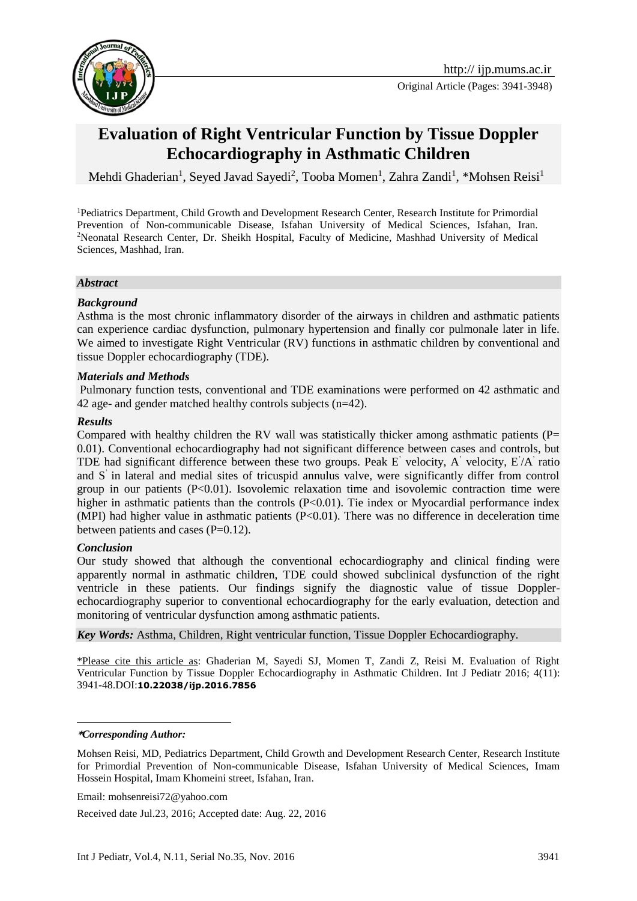

Original Article (Pages: 3941-3948)

# **Evaluation of Right Ventricular Function by Tissue Doppler Echocardiography in Asthmatic Children**

Mehdi Ghaderian<sup>1</sup>, Seyed Javad Sayedi<sup>2</sup>, Tooba Momen<sup>1</sup>, Zahra Zandi<sup>1</sup>, \*Mohsen Reisi<sup>1</sup>

<sup>1</sup>Pediatrics Department, Child Growth and Development Research Center, Research Institute for Primordial Prevention of Non-communicable Disease, Isfahan University of Medical Sciences, Isfahan, Iran. <sup>2</sup>Neonatal Research Center, Dr. Sheikh Hospital, Faculty of Medicine, Mashhad University of Medical Sciences, Mashhad, Iran.

#### *Abstract*

### *Background*

Asthma is the most chronic inflammatory disorder of the airways in children and asthmatic patients can experience cardiac dysfunction, pulmonary hypertension and finally cor pulmonale later in life. We aimed to investigate Right Ventricular (RV) functions in asthmatic children by conventional and tissue Doppler echocardiography (TDE).

### *Materials and Methods*

Pulmonary function tests, conventional and TDE examinations were performed on 42 asthmatic and 42 age- and gender matched healthy controls subjects (n=42).

### *Results*

Compared with healthy children the RV wall was statistically thicker among asthmatic patients ( $P=$ 0.01). Conventional echocardiography had not significant difference between cases and controls, but TDE had significant difference between these two groups. Peak E' velocity, A' velocity, E' /A' ratio and S' in lateral and medial sites of tricuspid annulus valve, were significantly differ from control group in our patients  $(P<0.01)$ . Isovolemic relaxation time and isovolemic contraction time were higher in asthmatic patients than the controls (P<0.01). Tie index or Myocardial performance index (MPI) had higher value in asthmatic patients (P<0.01). There was no difference in deceleration time between patients and cases  $(P=0.12)$ .

### *Conclusion*

Our study showed that although the conventional echocardiography and clinical finding were apparently normal in asthmatic children, TDE could showed subclinical dysfunction of the right ventricle in these patients. Our findings signify the diagnostic value of tissue Dopplerechocardiography superior to conventional echocardiography for the early evaluation, detection and monitoring of ventricular dysfunction among asthmatic patients.

*Key Words:* Asthma, Children, Right ventricular function, Tissue Doppler Echocardiography.

\*Please cite this article as: Ghaderian M, Sayedi SJ, Momen T, Zandi Z, Reisi M. Evaluation of Right Ventricular Function by Tissue Doppler Echocardiography in Asthmatic Children. Int J Pediatr 2016; 4(11): 3941-48.DOI:**10.22038/ijp.2016.7856**

1

**<sup>\*</sup>***Corresponding Author:*

Mohsen Reisi, MD, Pediatrics Department, Child Growth and Development Research Center, Research Institute for Primordial Prevention of Non-communicable Disease, Isfahan University of Medical Sciences, Imam Hossein Hospital, Imam Khomeini street, Isfahan, Iran.

Email: mohsenreisi72@yahoo.com

Received date Jul.23, 2016; Accepted date: Aug. 22, 2016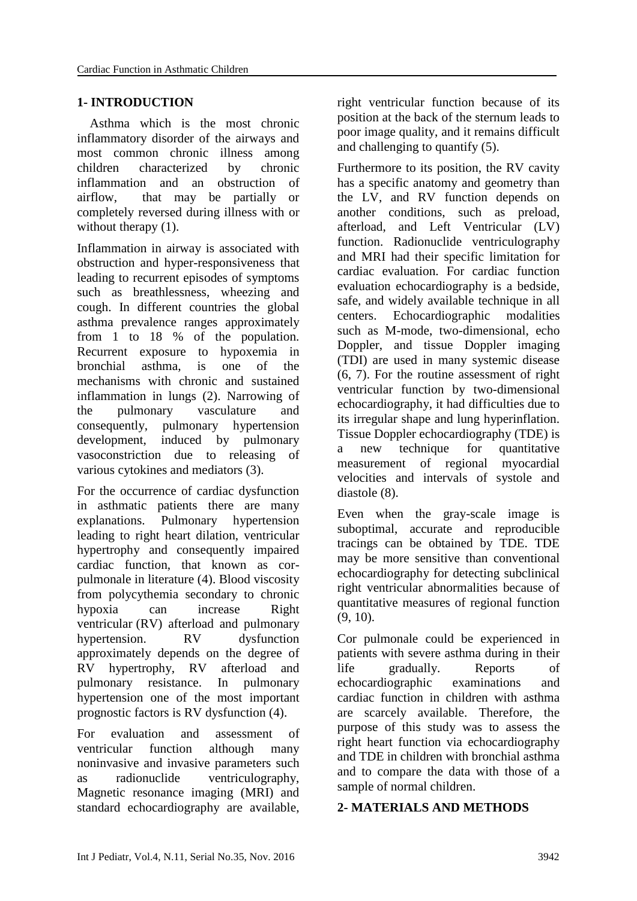### **1- INTRODUCTION**

 Asthma which is the most chronic inflammatory disorder of the airways and most common chronic illness among children characterized by chronic inflammation and an obstruction of airflow, that may be partially or completely reversed during illness with or without therapy  $(1)$ .

Inflammation in airway is associated with obstruction and hyper-responsiveness that leading to recurrent episodes of symptoms such as breathlessness, wheezing and cough. In different countries the global asthma prevalence ranges approximately from 1 to 18 % of the population. Recurrent exposure to hypoxemia in bronchial asthma, is one of the mechanisms with chronic and sustained inflammation in lungs (2). Narrowing of the pulmonary vasculature and consequently, pulmonary hypertension development, induced by pulmonary vasoconstriction due to releasing of various cytokines and mediators (3).

For the occurrence of cardiac dysfunction in asthmatic patients there are many explanations. Pulmonary hypertension leading to right heart dilation, ventricular hypertrophy and consequently impaired cardiac function, that known as corpulmonale in literature (4). Blood viscosity from polycythemia secondary to chronic hypoxia can increase Right ventricular (RV) afterload and pulmonary hypertension. RV dysfunction approximately depends on the degree of RV hypertrophy, RV afterload and pulmonary resistance. In pulmonary hypertension one of the most important prognostic factors is RV dysfunction (4).

For evaluation and assessment of ventricular function although many noninvasive and invasive parameters such as radionuclide ventriculography, Magnetic resonance imaging (MRI) and standard echocardiography are available, right ventricular function because of its position at the back of the sternum leads to poor image quality, and it remains difficult and challenging to quantify (5).

Furthermore to its position, the RV cavity has a specific anatomy and geometry than the LV, and RV function depends on another conditions, such as preload, afterload, and Left Ventricular (LV) function. Radionuclide ventriculography and MRI had their specific limitation for cardiac evaluation. For cardiac function evaluation echocardiography is a bedside, safe, and widely available technique in all centers. Echocardiographic modalities such as M-mode, two-dimensional, echo Doppler, and tissue Doppler imaging (TDI) are used in many systemic disease (6, 7). For the routine assessment of right ventricular function by two-dimensional echocardiography, it had difficulties due to its irregular shape and lung hyperinflation. Tissue Doppler echocardiography (TDE) is a new technique for quantitative measurement of regional myocardial velocities and intervals of systole and diastole (8).

Even when the gray-scale image is suboptimal, accurate and reproducible tracings can be obtained by TDE. TDE may be more sensitive than conventional echocardiography for detecting subclinical right ventricular abnormalities because of quantitative measures of regional function (9, 10).

Cor pulmonale could be experienced in patients with severe asthma during in their life gradually. Reports of echocardiographic examinations and cardiac function in children with asthma are scarcely available. Therefore, the purpose of this study was to assess the right heart function via echocardiography and TDE in children with bronchial asthma and to compare the data with those of a sample of normal children.

### **2- MATERIALS AND METHODS**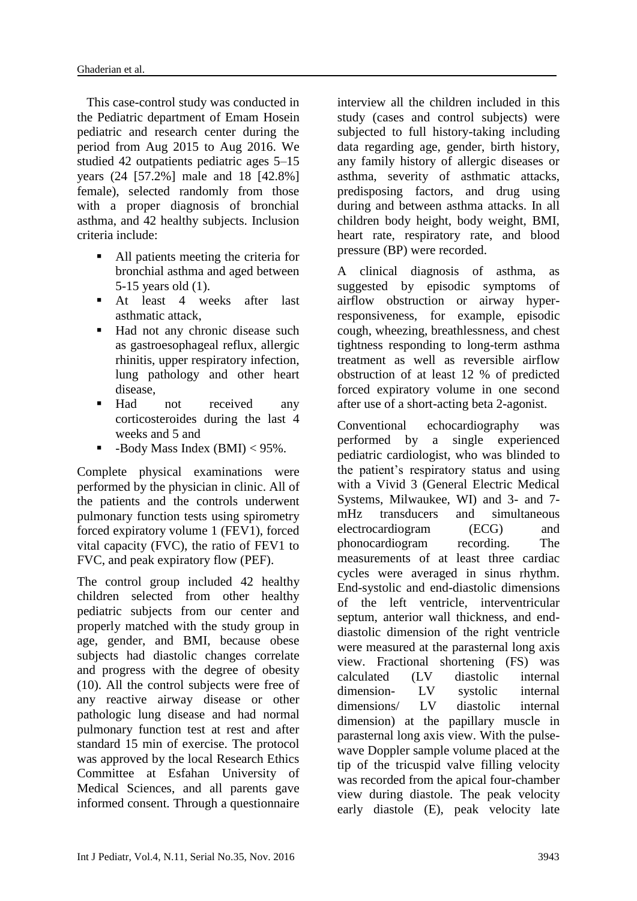This case-control study was conducted in the Pediatric department of Emam Hosein pediatric and research center during the period from Aug 2015 to Aug 2016. We studied 42 outpatients pediatric ages 5–15 years (24 [57.2%] male and 18 [42.8%] female), selected randomly from those with a proper diagnosis of bronchial asthma, and 42 healthy subjects. Inclusion criteria include:

- All patients meeting the criteria for bronchial asthma and aged between 5-15 years old (1).
- At least 4 weeks after last asthmatic attack,
- Had not any chronic disease such as gastroesophageal reflux, allergic rhinitis, upper respiratory infection, lung pathology and other heart disease,
- Had not received any corticosteroides during the last 4 weeks and 5 and
- $\blacksquare$  -Body Mass Index (BMI) < 95%.

Complete physical examinations were performed by the physician in clinic. All of the patients and the controls underwent pulmonary function tests using spirometry forced expiratory volume 1 (FEV1), forced vital capacity (FVC), the ratio of FEV1 to FVC, and peak expiratory flow (PEF).

The control group included 42 healthy children selected from other healthy pediatric subjects from our center and properly matched with the study group in age, gender, and BMI, because obese subjects had diastolic changes correlate and progress with the degree of obesity (10). All the control subjects were free of any reactive airway disease or other pathologic lung disease and had normal pulmonary function test at rest and after standard 15 min of exercise. The protocol was approved by the local Research Ethics Committee at Esfahan University of Medical Sciences, and all parents gave informed consent. Through a questionnaire interview all the children included in this study (cases and control subjects) were subjected to full history-taking including data regarding age, gender, birth history, any family history of allergic diseases or asthma, severity of asthmatic attacks, predisposing factors, and drug using during and between asthma attacks. In all children body height, body weight, BMI, heart rate, respiratory rate, and blood pressure (BP) were recorded.

A clinical diagnosis of asthma, as suggested by episodic symptoms of airflow obstruction or airway hyperresponsiveness, for example, episodic cough, wheezing, breathlessness, and chest tightness responding to long-term asthma treatment as well as reversible airflow obstruction of at least 12 % of predicted forced expiratory volume in one second after use of a short-acting beta 2-agonist.

Conventional echocardiography was performed by a single experienced pediatric cardiologist, who was blinded to the patient's respiratory status and using with a Vivid 3 (General Electric Medical Systems, Milwaukee, WI) and 3- and 7 mHz transducers and simultaneous electrocardiogram (ECG) and phonocardiogram recording. The measurements of at least three cardiac cycles were averaged in sinus rhythm. End-systolic and end-diastolic dimensions of the left ventricle, interventricular septum, anterior wall thickness, and enddiastolic dimension of the right ventricle were measured at the parasternal long axis view. Fractional shortening (FS) was calculated (LV diastolic internal dimension- LV systolic internal dimensions/ LV diastolic internal dimension) at the papillary muscle in parasternal long axis view. With the pulsewave Doppler sample volume placed at the tip of the tricuspid valve filling velocity was recorded from the apical four-chamber view during diastole. The peak velocity early diastole (E), peak velocity late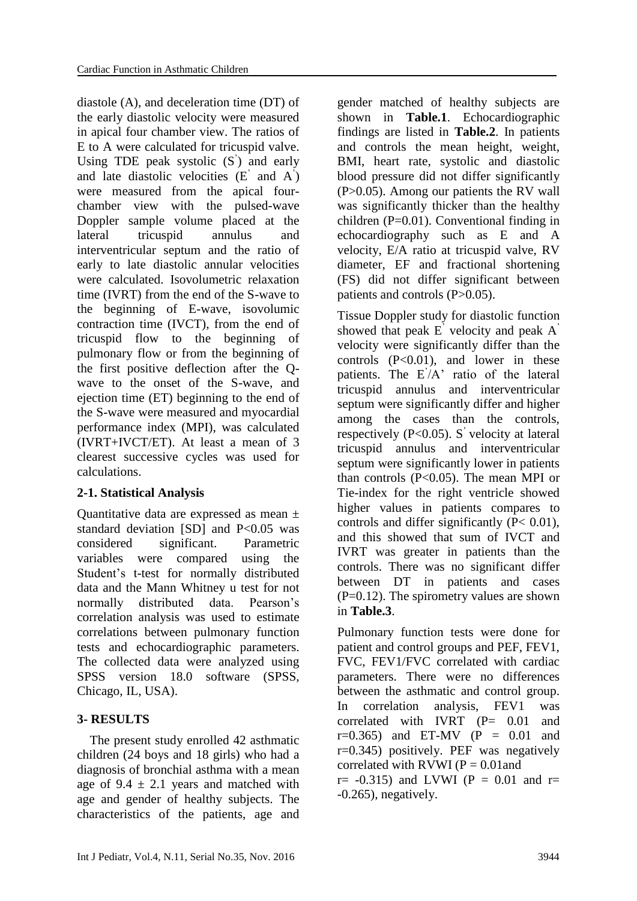diastole (A), and deceleration time (DT) of the early diastolic velocity were measured in apical four chamber view. The ratios of E to A were calculated for tricuspid valve. Using TDE peak systolic (S' ) and early and late diastolic velocities (E' and A' ) were measured from the apical fourchamber view with the pulsed-wave Doppler sample volume placed at the lateral tricuspid annulus and interventricular septum and the ratio of early to late diastolic annular velocities were calculated. Isovolumetric relaxation time (IVRT) from the end of the S-wave to the beginning of E-wave, isovolumic contraction time (IVCT), from the end of tricuspid flow to the beginning of pulmonary flow or from the beginning of the first positive deflection after the Qwave to the onset of the S-wave, and ejection time (ET) beginning to the end of the S-wave were measured and myocardial performance index (MPI), was calculated (IVRT+IVCT/ET). At least a mean of 3 clearest successive cycles was used for calculations.

# **2-1. Statistical Analysis**

Quantitative data are expressed as mean ± standard deviation [SD] and  $P<0.05$  was considered significant. Parametric variables were compared using the Student's t-test for normally distributed data and the Mann Whitney u test for not normally distributed data. Pearson's correlation analysis was used to estimate correlations between pulmonary function tests and echocardiographic parameters. The collected data were analyzed using SPSS version 18.0 software (SPSS, Chicago, IL, USA).

# **3- RESULTS**

 The present study enrolled 42 asthmatic children (24 boys and 18 girls) who had a diagnosis of bronchial asthma with a mean age of  $9.4 \pm 2.1$  years and matched with age and gender of healthy subjects. The characteristics of the patients, age and gender matched of healthy subjects are shown in **Table.1**. Echocardiographic findings are listed in **Table.2**. In patients and controls the mean height, weight, BMI, heart rate, systolic and diastolic blood pressure did not differ significantly (P>0.05). Among our patients the RV wall was significantly thicker than the healthy children  $(P=0.01)$ . Conventional finding in echocardiography such as E and A velocity, E/A ratio at tricuspid valve, RV diameter, EF and fractional shortening (FS) did not differ significant between patients and controls (P>0.05).

Tissue Doppler study for diastolic function showed that peak E' velocity and peak A' velocity were significantly differ than the controls  $(P<0.01)$ , and lower in these patients. The E<sup>'</sup>/A' ratio of the lateral tricuspid annulus and interventricular septum were significantly differ and higher among the cases than the controls, respectively (P<0.05). S' velocity at lateral tricuspid annulus and interventricular septum were significantly lower in patients than controls  $(P<0.05)$ . The mean MPI or Tie-index for the right ventricle showed higher values in patients compares to controls and differ significantly (P< 0.01), and this showed that sum of IVCT and IVRT was greater in patients than the controls. There was no significant differ between DT in patients and cases  $(P=0.12)$ . The spirometry values are shown in **Table.3**.

Pulmonary function tests were done for patient and control groups and PEF, FEV1, FVC, FEV1/FVC correlated with cardiac parameters. There were no differences between the asthmatic and control group. In correlation analysis, FEV1 was correlated with IVRT (P= 0.01 and  $r=0.365$ ) and ET-MV (P = 0.01 and r=0.345) positively. PEF was negatively correlated with RVWI ( $P = 0.01$  and  $r= -0.315$  and LVWI (P = 0.01 and  $r=$ -0.265), negatively.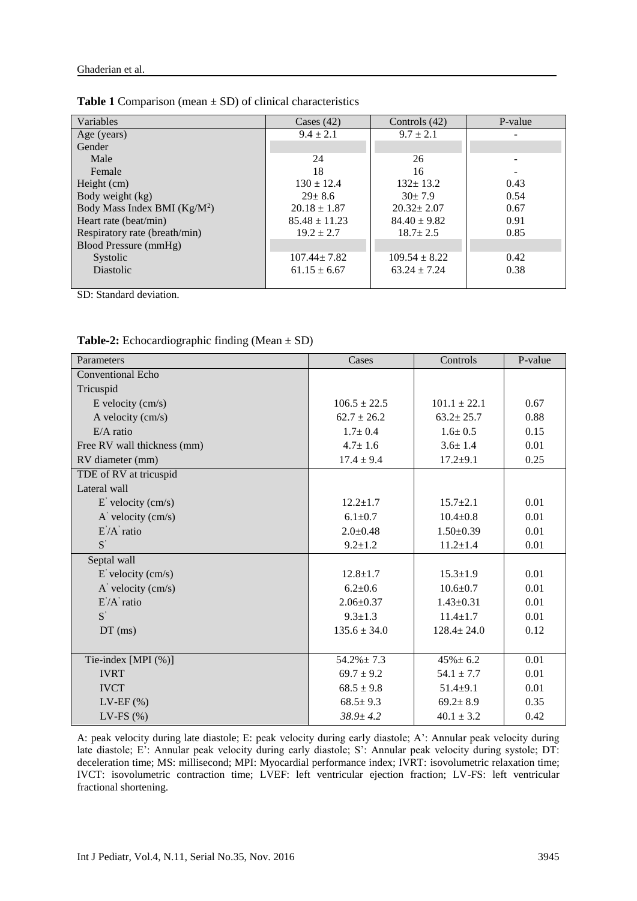| Variables                     | Cases $(42)$      | Controls $(42)$   | P-value |
|-------------------------------|-------------------|-------------------|---------|
| Age (years)                   | $9.4 \pm 2.1$     | $9.7 \pm 2.1$     |         |
| Gender                        |                   |                   |         |
| Male                          | 24                | 26                |         |
| Female                        | 18                | 16                |         |
| Height (cm)                   | $130 \pm 12.4$    | $132+13.2$        | 0.43    |
| Body weight (kg)              | $29 \pm 8.6$      | $30+7.9$          | 0.54    |
| Body Mass Index BMI $(Kg/M2)$ | $20.18 \pm 1.87$  | $20.32 \pm 2.07$  | 0.67    |
| Heart rate (beat/min)         | $85.48 \pm 11.23$ | $84.40 \pm 9.82$  | 0.91    |
| Respiratory rate (breath/min) | $19.2 \pm 2.7$    | $18.7 \pm 2.5$    | 0.85    |
| <b>Blood Pressure (mmHg)</b>  |                   |                   |         |
| Systolic                      | $107.44 \pm 7.82$ | $109.54 \pm 8.22$ | 0.42    |
| <b>Diastolic</b>              | $61.15 \pm 6.67$  | $63.24 \pm 7.24$  | 0.38    |
|                               |                   |                   |         |

**Table 1** Comparison (mean  $\pm$  SD) of clinical characteristics

SD: Standard deviation.

| <b>rapic 2.</b> Echocardiographic rinding (mean $\pm$ SD) |                  |                  |         |  |  |
|-----------------------------------------------------------|------------------|------------------|---------|--|--|
| Parameters                                                | Cases            | Controls         | P-value |  |  |
| <b>Conventional Echo</b>                                  |                  |                  |         |  |  |
| Tricuspid                                                 |                  |                  |         |  |  |
| $E$ velocity (cm/s)                                       | $106.5 \pm 22.5$ | $101.1 \pm 22.1$ | 0.67    |  |  |
| A velocity (cm/s)                                         | $62.7 \pm 26.2$  | $63.2 \pm 25.7$  | 0.88    |  |  |
| $E/A$ ratio                                               | $1.7 \pm 0.4$    | $1.6 \pm 0.5$    | 0.15    |  |  |
| Free RV wall thickness (mm)                               | $4.7 \pm 1.6$    | $3.6 \pm 1.4$    | 0.01    |  |  |
| RV diameter (mm)                                          | $17.4 \pm 9.4$   | $17.2 + 9.1$     | 0.25    |  |  |
| TDE of RV at tricuspid                                    |                  |                  |         |  |  |
| Lateral wall                                              |                  |                  |         |  |  |
| $E'$ velocity (cm/s)                                      | $12.2 \pm 1.7$   | $15.7 \pm 2.1$   | 0.01    |  |  |
| $\overrightarrow{A}$ velocity (cm/s)                      | $6.1 \pm 0.7$    | $10.4 \pm 0.8$   | 0.01    |  |  |
| $E'A'$ ratio                                              | $2.0 \pm 0.48$   | $1.50 \pm 0.39$  | 0.01    |  |  |
| $S^{\prime}$                                              | $9.2 \pm 1.2$    | $11.2 \pm 1.4$   | 0.01    |  |  |
| Septal wall                                               |                  |                  |         |  |  |
| E' velocity (cm/s)                                        | $12.8 \pm 1.7$   | $15.3 \pm 1.9$   | 0.01    |  |  |
| $A'$ velocity (cm/s)                                      | $6.2 \pm 0.6$    | $10.6 + 0.7$     | 0.01    |  |  |
| $E'A'$ ratio                                              | $2.06 \pm 0.37$  | $1.43 \pm 0.31$  | 0.01    |  |  |
| $S^{'}$                                                   | $9.3 \pm 1.3$    | $11.4 \pm 1.7$   | 0.01    |  |  |
| $DT$ (ms)                                                 | $135.6 \pm 34.0$ | $128.4 \pm 24.0$ | 0.12    |  |  |
|                                                           |                  |                  |         |  |  |
| Tie-index [MPI (%)]                                       | $54.2\% \pm 7.3$ | $45\% \pm 6.2$   | 0.01    |  |  |
| <b>IVRT</b>                                               | $69.7 \pm 9.2$   | $54.1 \pm 7.7$   | 0.01    |  |  |
| <b>IVCT</b>                                               | $68.5 \pm 9.8$   | $51.4 + 9.1$     | 0.01    |  |  |
| $LV-EF$ (%)                                               | $68.5 \pm 9.3$   | $69.2 \pm 8.9$   | 0.35    |  |  |
| LV-FS $(\%)$                                              | $38.9 \pm 4.2$   | $40.1 \pm 3.2$   | 0.42    |  |  |

**Table-2:** Echocardiographic finding (Mean + SD)

A: peak velocity during late diastole; E: peak velocity during early diastole; A': Annular peak velocity during late diastole; E': Annular peak velocity during early diastole; S': Annular peak velocity during systole; DT: deceleration time; MS: millisecond; MPI: Myocardial performance index; IVRT: isovolumetric relaxation time; IVCT: isovolumetric contraction time; LVEF: left ventricular ejection fraction; LV-FS: left ventricular fractional shortening.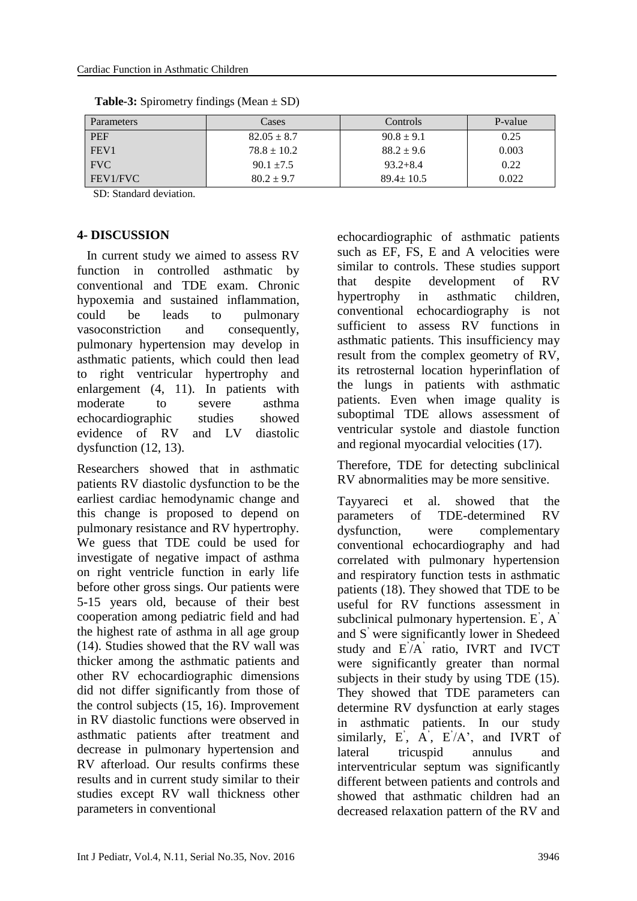| <b>Parameters</b> | Cases           | Controls        | P-value |
|-------------------|-----------------|-----------------|---------|
| <b>PEF</b>        | $82.05 \pm 8.7$ | $90.8 \pm 9.1$  | 0.25    |
| FEV1              | $78.8 \pm 10.2$ | $88.2 \pm 9.6$  | 0.003   |
| <b>FVC</b>        | $90.1 + 7.5$    | $93.2 + 8.4$    | 0.22    |
| FEV1/FVC          | $80.2 \pm 9.7$  | $89.4 \pm 10.5$ | 0.022   |

**Table-3:** Spirometry findings (Mean  $\pm$  SD)

SD: Standard deviation.

### **4- DISCUSSION**

 In current study we aimed to assess RV function in controlled asthmatic by conventional and TDE exam. Chronic hypoxemia and sustained inflammation, could be leads to pulmonary vasoconstriction and consequently, pulmonary hypertension may develop in asthmatic patients, which could then lead to right ventricular hypertrophy and enlargement (4, 11). In patients with moderate to severe asthma echocardiographic studies showed evidence of RV and LV diastolic dysfunction (12, 13).

Researchers showed that in asthmatic patients RV diastolic dysfunction to be the earliest cardiac hemodynamic change and this change is proposed to depend on pulmonary resistance and RV hypertrophy. We guess that TDE could be used for investigate of negative impact of asthma on right ventricle function in early life before other gross sings. Our patients were 5-15 years old, because of their best cooperation among pediatric field and had the highest rate of asthma in all age group (14). Studies showed that the RV wall was thicker among the asthmatic patients and other RV echocardiographic dimensions did not differ significantly from those of the control subjects (15, 16). Improvement in RV diastolic functions were observed in asthmatic patients after treatment and decrease in pulmonary hypertension and RV afterload. Our results confirms these results and in current study similar to their studies except RV wall thickness other parameters in conventional

echocardiographic of asthmatic patients such as EF, FS, E and A velocities were similar to controls. These studies support that despite development of RV hypertrophy in asthmatic children, conventional echocardiography is not sufficient to assess RV functions in asthmatic patients. This insufficiency may result from the complex geometry of RV, its retrosternal location hyperinflation of the lungs in patients with asthmatic patients. Even when image quality is suboptimal TDE allows assessment of ventricular systole and diastole function and regional myocardial velocities (17).

Therefore, TDE for detecting subclinical RV abnormalities may be more sensitive.

Tayyareci et al. showed that the parameters of TDE-determined RV dysfunction, were complementary conventional echocardiography and had correlated with pulmonary hypertension and respiratory function tests in asthmatic patients (18). They showed that TDE to be useful for RV functions assessment in subclinical pulmonary hypertension. E', A' and S' were significantly lower in Shedeed study and E' /A' ratio, IVRT and IVCT were significantly greater than normal subjects in their study by using TDE (15). They showed that TDE parameters can determine RV dysfunction at early stages in asthmatic patients. In our study similarly,  $E^{\prime}$ ,  $A^{\prime}$ ,  $E^{\prime}/A^{\prime}$ , and IVRT of lateral tricuspid annulus and interventricular septum was significantly different between patients and controls and showed that asthmatic children had an decreased relaxation pattern of the RV and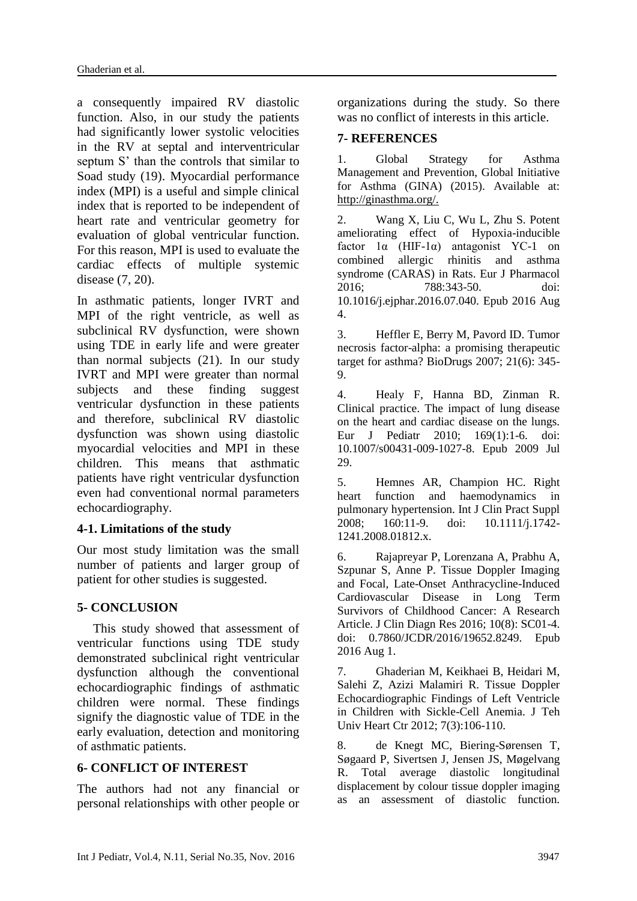a consequently impaired RV diastolic function. Also, in our study the patients had significantly lower systolic velocities in the RV at septal and interventricular septum S' than the controls that similar to Soad study (19). Myocardial performance index (MPI) is a useful and simple clinical index that is reported to be independent of heart rate and ventricular geometry for evaluation of global ventricular function. For this reason, MPI is used to evaluate the cardiac effects of multiple systemic disease (7, 20).

In asthmatic patients, longer IVRT and MPI of the right ventricle, as well as subclinical RV dysfunction, were shown using TDE in early life and were greater than normal subjects (21). In our study IVRT and MPI were greater than normal subjects and these finding suggest ventricular dysfunction in these patients and therefore, subclinical RV diastolic dysfunction was shown using diastolic myocardial velocities and MPI in these children. This means that asthmatic patients have right ventricular dysfunction even had conventional normal parameters echocardiography.

### **4-1. Limitations of the study**

Our most study limitation was the small number of patients and larger group of patient for other studies is suggested.

### **5- CONCLUSION**

 This study showed that assessment of ventricular functions using TDE study demonstrated subclinical right ventricular dysfunction although the conventional echocardiographic findings of asthmatic children were normal. These findings signify the diagnostic value of TDE in the early evaluation, detection and monitoring of asthmatic patients.

# **6- CONFLICT OF INTEREST**

The authors had not any financial or personal relationships with other people or organizations during the study. So there was no conflict of interests in this article.

## **7- REFERENCES**

1. Global Strategy for Asthma Management and Prevention, Global Initiative for Asthma (GINA) (2015). Available at: http://ginasthma.org/.

2. Wang X, Liu C, Wu L, Zhu S. Potent ameliorating effect of Hypoxia-inducible factor 1α (HIF-1α) antagonist YC-1 on combined allergic rhinitis and asthma syndrome (CARAS) in Rats. Eur J Pharmacol 2016; 788:343-50. doi: 10.1016/j.ejphar.2016.07.040. Epub 2016 Aug 4.

3. Heffler E, Berry M, Pavord ID. Tumor necrosis factor-alpha: a promising therapeutic target for asthma? BioDrugs 2007; 21(6): 345- 9.

4. Healy F, Hanna BD, Zinman R. Clinical practice. The impact of lung disease on the heart and cardiac disease on the lungs. Eur J Pediatr 2010; 169(1):1-6. doi: 10.1007/s00431-009-1027-8. Epub 2009 Jul 29.

5. Hemnes AR, Champion HC. Right heart function and haemodynamics in pulmonary hypertension. Int J Clin Pract Suppl 2008; 160:11-9. doi: 10.1111/j.1742- 1241.2008.01812.x.

6. Rajapreyar P, Lorenzana A, Prabhu A, Szpunar S, Anne P. Tissue Doppler Imaging and Focal, Late-Onset Anthracycline-Induced Cardiovascular Disease in Long Term Survivors of Childhood Cancer: A Research Article. J Clin Diagn Res 2016; 10(8): SC01-4. doi: 0.7860/JCDR/2016/19652.8249. Epub 2016 Aug 1.

7. Ghaderian M, Keikhaei B, Heidari M, Salehi Z, Azizi Malamiri R. Tissue Doppler Echocardiographic Findings of Left Ventricle in Children with Sickle-Cell Anemia. J Teh Univ Heart Ctr 2012; 7(3):106-110.

8. de Knegt MC, Biering-Sørensen T, Søgaard P, Sivertsen J, Jensen JS, Møgelvang R. Total average diastolic longitudinal displacement by colour tissue doppler imaging as an assessment of diastolic function.